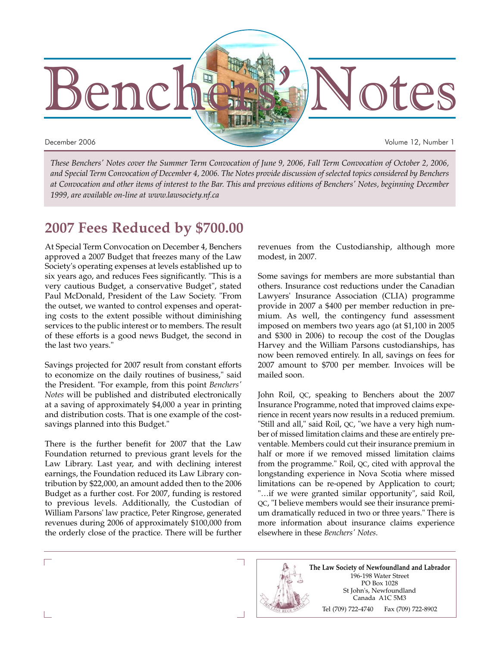

*These Benchers' Notes cover the Summer Term Convocation of June 9, 2006, Fall Term Convocation of October 2, 2006, and Special Term Convocation of December 4, 2006. The Notes provide discussion of selected topics considered by Benchers at Convocation and other items of interest to the Bar. This and previous editions of Benchers' Notes, beginning December 1999, are available on-line at www.lawsociety.nf.ca*

# **2007 Fees Reduced by \$700.00**

At Special Term Convocation on December 4, Benchers approved a 2007 Budget that freezes many of the Law Society's operating expenses at levels established up to six years ago, and reduces Fees significantly. "This is a very cautious Budget, a conservative Budget", stated Paul McDonald, President of the Law Society. "From the outset, we wanted to control expenses and operating costs to the extent possible without diminishing services to the public interest or to members. The result of these efforts is a good news Budget, the second in the last two years."

Savings projected for 2007 result from constant efforts to economize on the daily routines of business," said the President. "For example, from this point *Benchers' Notes* will be published and distributed electronically at a saving of approximately \$4,000 a year in printing and distribution costs. That is one example of the costsavings planned into this Budget."

There is the further benefit for 2007 that the Law Foundation returned to previous grant levels for the Law Library. Last year, and with declining interest earnings, the Foundation reduced its Law Library contribution by \$22,000, an amount added then to the 2006 Budget as a further cost. For 2007, funding is restored to previous levels. Additionally, the Custodian of William Parsons' law practice, Peter Ringrose, generated revenues during 2006 of approximately \$100,000 from the orderly close of the practice. There will be further revenues from the Custodianship, although more modest, in 2007.

Some savings for members are more substantial than others. Insurance cost reductions under the Canadian Lawyers' Insurance Association (CLIA) programme provide in 2007 a \$400 per member reduction in premium. As well, the contingency fund assessment imposed on members two years ago (at \$1,100 in 2005 and \$300 in 2006) to recoup the cost of the Douglas Harvey and the William Parsons custodianships, has now been removed entirely. In all, savings on fees for 2007 amount to \$700 per member. Invoices will be mailed soon.

John Roil, QC, speaking to Benchers about the 2007 Insurance Programme, noted that improved claims experience in recent years now results in a reduced premium. "Still and all," said Roil, QC, "we have a very high number of missed limitation claims and these are entirely preventable. Members could cut their insurance premium in half or more if we removed missed limitation claims from the programme." Roil, QC, cited with approval the longstanding experience in Nova Scotia where missed limitations can be re-opened by Application to court; "…if we were granted similar opportunity", said Roil, QC, "I believe members would see their insurance premium dramatically reduced in two or three years." There is more information about insurance claims experience elsewhere in these *Benchers' Notes*.

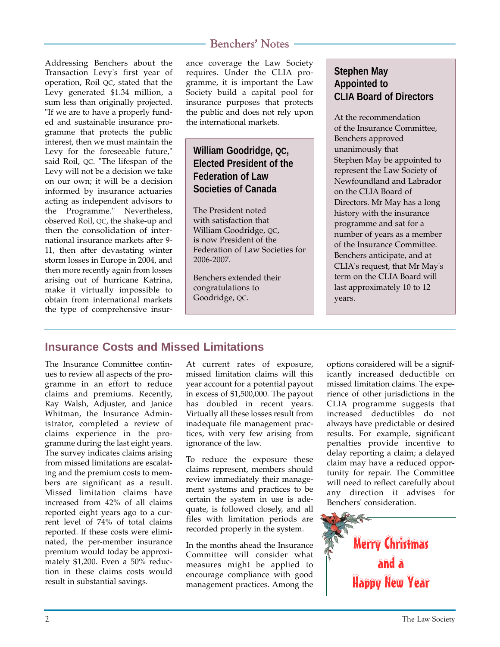Addressing Benchers about the Transaction Levy's first year of operation, Roil QC, stated that the Levy generated \$1.34 million, a sum less than originally projected. "If we are to have a properly funded and sustainable insurance programme that protects the public interest, then we must maintain the Levy for the foreseeable future," said Roil, QC. "The lifespan of the Levy will not be a decision we take on our own; it will be a decision informed by insurance actuaries acting as independent advisors to the Programme." Nevertheless, observed Roil, QC, the shake-up and then the consolidation of international insurance markets after 9- 11, then after devastating winter storm losses in Europe in 2004, and then more recently again from losses arising out of hurricane Katrina, make it virtually impossible to obtain from international markets the type of comprehensive insur-

## Benchers' Notes

ance coverage the Law Society requires. Under the CLIA programme, it is important the Law Society build a capital pool for insurance purposes that protects the public and does not rely upon the international markets.

## **William Goodridge, QC, Elected President of the Federation of Law Societies of Canada**

The President noted with satisfaction that William Goodridge, QC, is now President of the Federation of Law Societies for 2006-2007.

Benchers extended their congratulations to Goodridge, QC.

## **Stephen May Appointed to CLIA Board of Directors**

At the recommendation of the Insurance Committee, Benchers approved unanimously that Stephen May be appointed to represent the Law Society of Newfoundland and Labrador on the CLIA Board of Directors. Mr May has a long history with the insurance programme and sat for a number of years as a member of the Insurance Committee. Benchers anticipate, and at CLIA's request, that Mr May's term on the CLIA Board will last approximately 10 to 12 years.

# **Insurance Costs and Missed Limitations**

The Insurance Committee continues to review all aspects of the programme in an effort to reduce claims and premiums. Recently, Ray Walsh, Adjuster, and Janice Whitman, the Insurance Administrator, completed a review of claims experience in the programme during the last eight years. The survey indicates claims arising from missed limitations are escalating and the premium costs to members are significant as a result. Missed limitation claims have increased from 42% of all claims reported eight years ago to a current level of 74% of total claims reported. If these costs were eliminated, the per-member insurance premium would today be approximately \$1,200. Even a 50% reduction in these claims costs would result in substantial savings.

At current rates of exposure, missed limitation claims will this year account for a potential payout in excess of \$1,500,000. The payout has doubled in recent years. Virtually all these losses result from inadequate file management practices, with very few arising from ignorance of the law.

To reduce the exposure these claims represent, members should review immediately their management systems and practices to be certain the system in use is adequate, is followed closely, and all files with limitation periods are recorded properly in the system.

In the months ahead the Insurance Committee will consider what measures might be applied to encourage compliance with good management practices. Among the

options considered will be a significantly increased deductible on missed limitation claims. The experience of other jurisdictions in the CLIA programme suggests that increased deductibles do not always have predictable or desired results. For example, significant penalties provide incentive to delay reporting a claim; a delayed claim may have a reduced opportunity for repair. The Committee will need to reflect carefully about any direction it advises for Benchers' consideration.

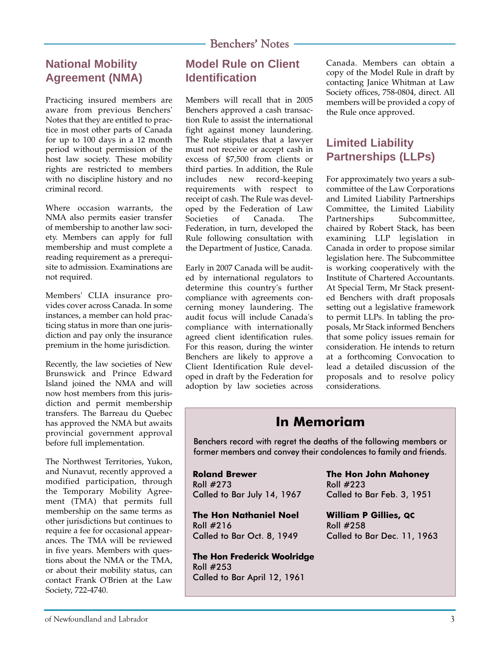## **National Mobility Agreement (NMA)**

Practicing insured members are aware from previous Benchers' Notes that they are entitled to practice in most other parts of Canada for up to 100 days in a 12 month period without permission of the host law society. These mobility rights are restricted to members with no discipline history and no criminal record.

Where occasion warrants, the NMA also permits easier transfer of membership to another law society. Members can apply for full membership and must complete a reading requirement as a prerequisite to admission. Examinations are not required.

Members' CLIA insurance provides cover across Canada. In some instances, a member can hold practicing status in more than one jurisdiction and pay only the insurance premium in the home jurisdiction.

Recently, the law societies of New Brunswick and Prince Edward Island joined the NMA and will now host members from this jurisdiction and permit membership transfers. The Barreau du Quebec has approved the NMA but awaits provincial government approval before full implementation.

The Northwest Territories, Yukon, and Nunavut, recently approved a modified participation, through the Temporary Mobility Agreement (TMA) that permits full membership on the same terms as other jurisdictions but continues to require a fee for occasional appearances. The TMA will be reviewed in five years. Members with questions about the NMA or the TMA, or about their mobility status, can contact Frank O'Brien at the Law Society, 722-4740.

## **Model Rule on Client Identification**

Members will recall that in 2005 Benchers approved a cash transaction Rule to assist the international fight against money laundering. The Rule stipulates that a lawyer must not receive or accept cash in excess of \$7,500 from clients or third parties. In addition, the Rule includes new record-keeping requirements with respect to receipt of cash. The Rule was developed by the Federation of Law Societies of Canada. The Federation, in turn, developed the Rule following consultation with the Department of Justice, Canada.

Early in 2007 Canada will be audited by international regulators to determine this country's further compliance with agreements concerning money laundering. The audit focus will include Canada's compliance with internationally agreed client identification rules. For this reason, during the winter Benchers are likely to approve a Client Identification Rule developed in draft by the Federation for adoption by law societies across Canada. Members can obtain a copy of the Model Rule in draft by contacting Janice Whitman at Law Society offices, 758-0804, direct. All members will be provided a copy of the Rule once approved.

## **Limited Liability Partnerships (LLPs)**

For approximately two years a subcommittee of the Law Corporations and Limited Liability Partnerships Committee, the Limited Liability Partnerships Subcommittee, chaired by Robert Stack, has been examining LLP legislation in Canada in order to propose similar legislation here. The Subcommittee is working cooperatively with the Institute of Chartered Accountants. At Special Term, Mr Stack presented Benchers with draft proposals setting out a legislative framework to permit LLPs. In tabling the proposals, Mr Stack informed Benchers that some policy issues remain for consideration. He intends to return at a forthcoming Convocation to lead a detailed discussion of the proposals and to resolve policy considerations.

# **In Memoriam**

Benchers record with regret the deaths of the following members or former members and convey their condolences to family and friends.

**Roland Brewer**  Roll #273 Called to Bar July 14, 1967

**The Hon Nathaniel Noel**  Roll #216 Called to Bar Oct. 8, 1949

**The Hon Frederick Woolridge**  Roll #253 Called to Bar April 12, 1961

**The Hon John Mahoney** Roll #223 Called to Bar Feb. 3, 1951

**William P Gillies, QC** Roll #258 Called to Bar Dec. 11, 1963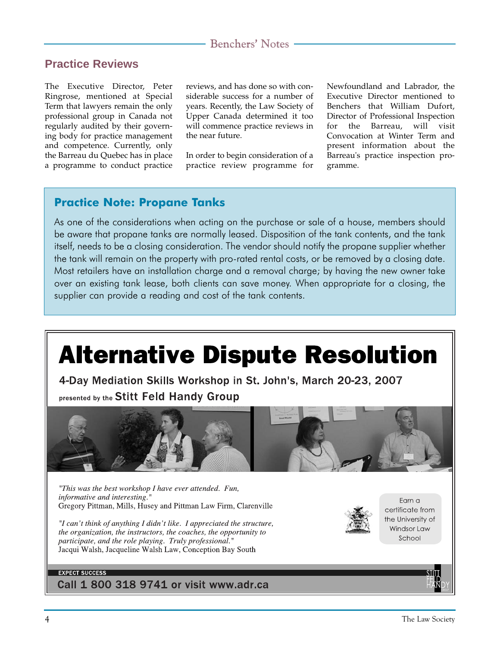### **Practice Reviews**

The Executive Director, Peter Ringrose, mentioned at Special Term that lawyers remain the only professional group in Canada not regularly audited by their governing body for practice management and competence. Currently, only the Barreau du Quebec has in place a programme to conduct practice

reviews, and has done so with considerable success for a number of years. Recently, the Law Society of Upper Canada determined it too will commence practice reviews in the near future.

In order to begin consideration of a practice review programme for Newfoundland and Labrador, the Executive Director mentioned to Benchers that William Dufort, Director of Professional Inspection for the Barreau, will visit Convocation at Winter Term and present information about the Barreau's practice inspection programme.

### **Practice Note: Propane Tanks**

As one of the considerations when acting on the purchase or sale of a house, members should be aware that propane tanks are normally leased. Disposition of the tank contents, and the tank itself, needs to be a closing consideration. The vendor should notify the propane supplier whether the tank will remain on the property with pro-rated rental costs, or be removed by a closing date. Most retailers have an installation charge and a removal charge; by having the new owner take over an existing tank lease, both clients can save money. When appropriate for a closing, the supplier can provide a reading and cost of the tank contents.

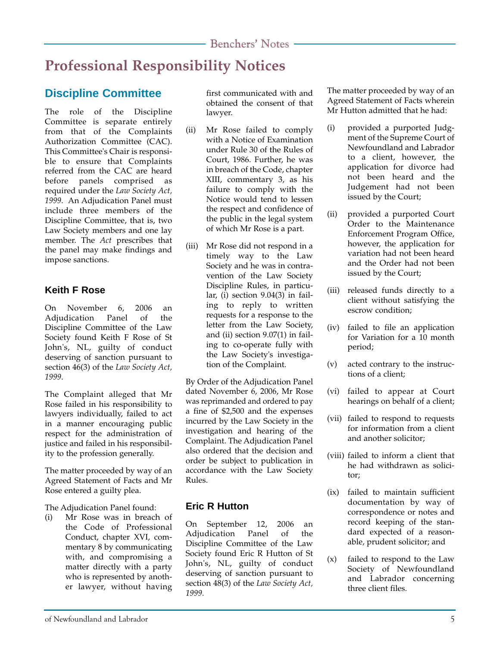# **Professional Responsibility Notices**

# **Discipline Committee**

The role of the Discipline Committee is separate entirely from that of the Complaints Authorization Committee (CAC). This Committee's Chair is responsible to ensure that Complaints referred from the CAC are heard before panels comprised as required under the *Law Society Act, 1999*. An Adjudication Panel must include three members of the Discipline Committee, that is, two Law Society members and one lay member. The *Act* prescribes that the panel may make findings and impose sanctions.

### **Keith F Rose**

On November 6, 2006 an Adjudication Panel of the Discipline Committee of the Law Society found Keith F Rose of St John's, NL, guilty of conduct deserving of sanction pursuant to section 46(3) of the *Law Society Act, 1999*.

The Complaint alleged that Mr Rose failed in his responsibility to lawyers individually, failed to act in a manner encouraging public respect for the administration of justice and failed in his responsibility to the profession generally.

The matter proceeded by way of an Agreed Statement of Facts and Mr Rose entered a guilty plea.

The Adjudication Panel found:

(i) Mr Rose was in breach of the Code of Professional Conduct, chapter XVI, commentary 8 by communicating with, and compromising a matter directly with a party who is represented by another lawyer, without having first communicated with and obtained the consent of that lawyer.

- (ii) Mr Rose failed to comply with a Notice of Examination under Rule 30 of the Rules of Court, 1986. Further, he was in breach of the Code, chapter XIII, commentary 3, as his failure to comply with the Notice would tend to lessen the respect and confidence of the public in the legal system of which Mr Rose is a part.
- (iii) Mr Rose did not respond in a timely way to the Law Society and he was in contravention of the Law Society Discipline Rules, in particular, (i) section 9.04(3) in failing to reply to written requests for a response to the letter from the Law Society, and (ii) section 9.07(1) in failing to co-operate fully with the Law Society's investigation of the Complaint.

By Order of the Adjudication Panel dated November 6, 2006, Mr Rose was reprimanded and ordered to pay a fine of \$2,500 and the expenses incurred by the Law Society in the investigation and hearing of the Complaint. The Adjudication Panel also ordered that the decision and order be subject to publication in accordance with the Law Society Rules.

### **Eric R Hutton**

On September 12, 2006 an Adjudication Panel of the Discipline Committee of the Law Society found Eric R Hutton of St John's, NL, guilty of conduct deserving of sanction pursuant to section 48(3) of the *Law Society Act, 1999*.

The matter proceeded by way of an Agreed Statement of Facts wherein Mr Hutton admitted that he had:

- (i) provided a purported Judgment of the Supreme Court of Newfoundland and Labrador to a client, however, the application for divorce had not been heard and the Judgement had not been issued by the Court;
- (ii) provided a purported Court Order to the Maintenance Enforcement Program Office, however, the application for variation had not been heard and the Order had not been issued by the Court;
- (iii) released funds directly to a client without satisfying the escrow condition;
- (iv) failed to file an application for Variation for a 10 month period;
- (v) acted contrary to the instructions of a client;
- (vi) failed to appear at Court hearings on behalf of a client;
- (vii) failed to respond to requests for information from a client and another solicitor;
- (viii) failed to inform a client that he had withdrawn as solicitor;
- (ix) failed to maintain sufficient documentation by way of correspondence or notes and record keeping of the standard expected of a reasonable, prudent solicitor; and
- (x) failed to respond to the Law Society of Newfoundland and Labrador concerning three client files.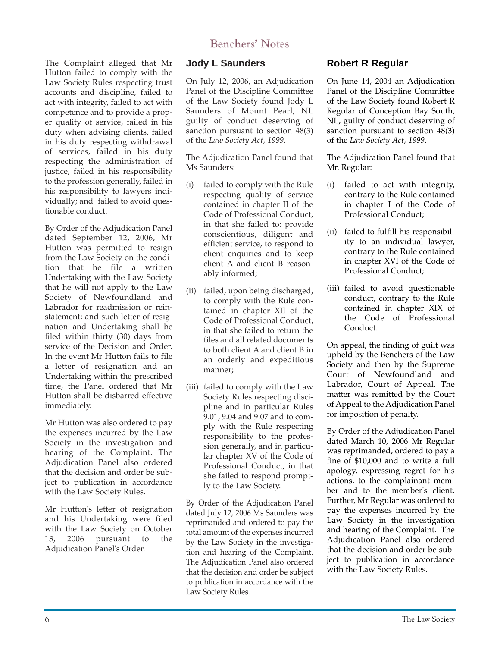The Complaint alleged that Mr Hutton failed to comply with the Law Society Rules respecting trust accounts and discipline, failed to act with integrity, failed to act with competence and to provide a proper quality of service, failed in his duty when advising clients, failed in his duty respecting withdrawal of services, failed in his duty respecting the administration of justice, failed in his responsibility to the profession generally, failed in his responsibility to lawyers individually; and failed to avoid questionable conduct.

By Order of the Adjudication Panel dated September 12, 2006, Mr Hutton was permitted to resign from the Law Society on the condition that he file a written Undertaking with the Law Society that he will not apply to the Law Society of Newfoundland and Labrador for readmission or reinstatement; and such letter of resignation and Undertaking shall be filed within thirty (30) days from service of the Decision and Order. In the event Mr Hutton fails to file a letter of resignation and an Undertaking within the prescribed time, the Panel ordered that Mr Hutton shall be disbarred effective immediately.

Mr Hutton was also ordered to pay the expenses incurred by the Law Society in the investigation and hearing of the Complaint. The Adjudication Panel also ordered that the decision and order be subject to publication in accordance with the Law Society Rules.

Mr Hutton's letter of resignation and his Undertaking were filed with the Law Society on October 13, 2006 pursuant to the Adjudication Panel's Order.

### **Jody L Saunders**

On July 12, 2006, an Adjudication Panel of the Discipline Committee of the Law Society found Jody L Saunders of Mount Pearl, NL guilty of conduct deserving of sanction pursuant to section 48(3) of the *Law Society Act, 1999*.

The Adjudication Panel found that Ms Saunders:

- (i) failed to comply with the Rule respecting quality of service contained in chapter II of the Code of Professional Conduct, in that she failed to: provide conscientious, diligent and efficient service, to respond to client enquiries and to keep client A and client B reasonably informed;
- (ii) failed, upon being discharged, to comply with the Rule contained in chapter XII of the Code of Professional Conduct, in that she failed to return the files and all related documents to both client A and client B in an orderly and expeditious manner;
- (iii) failed to comply with the Law Society Rules respecting discipline and in particular Rules 9.01, 9.04 and 9.07 and to comply with the Rule respecting responsibility to the profession generally, and in particular chapter XV of the Code of Professional Conduct, in that she failed to respond promptly to the Law Society.

By Order of the Adjudication Panel dated July 12, 2006 Ms Saunders was reprimanded and ordered to pay the total amount of the expenses incurred by the Law Society in the investigation and hearing of the Complaint. The Adjudication Panel also ordered that the decision and order be subject to publication in accordance with the Law Society Rules.

### **Robert R Regular**

On June 14, 2004 an Adjudication Panel of the Discipline Committee of the Law Society found Robert R Regular of Conception Bay South, NL, guilty of conduct deserving of sanction pursuant to section 48(3) of the *Law Society Act, 1999*.

The Adjudication Panel found that Mr. Regular:

- (i) failed to act with integrity, contrary to the Rule contained in chapter I of the Code of Professional Conduct;
- (ii) failed to fulfill his responsibility to an individual lawyer, contrary to the Rule contained in chapter XVI of the Code of Professional Conduct;
- (iii) failed to avoid questionable conduct, contrary to the Rule contained in chapter XIX of the Code of Professional Conduct.

On appeal, the finding of guilt was upheld by the Benchers of the Law Society and then by the Supreme Court of Newfoundland and Labrador, Court of Appeal. The matter was remitted by the Court of Appeal to the Adjudication Panel for imposition of penalty.

By Order of the Adjudication Panel dated March 10, 2006 Mr Regular was reprimanded, ordered to pay a fine of \$10,000 and to write a full apology, expressing regret for his actions, to the complainant member and to the member's client. Further, Mr Regular was ordered to pay the expenses incurred by the Law Society in the investigation and hearing of the Complaint. The Adjudication Panel also ordered that the decision and order be subject to publication in accordance with the Law Society Rules.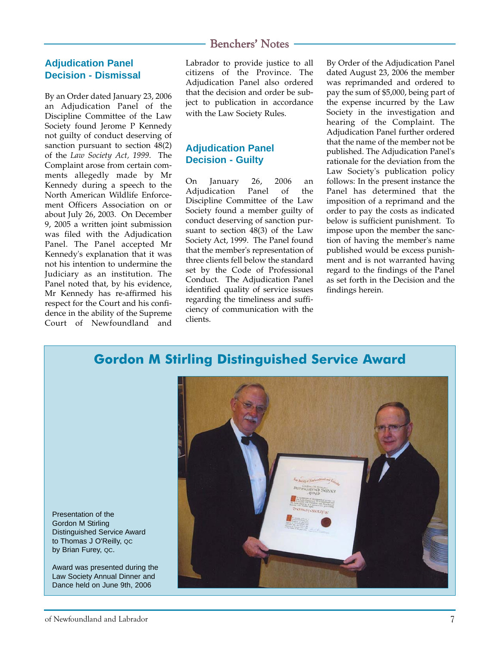### **Adjudication Panel Decision - Dismissal**

By an Order dated January 23, 2006 an Adjudication Panel of the Discipline Committee of the Law Society found Jerome P Kennedy not guilty of conduct deserving of sanction pursuant to section 48(2) of the *Law Society Act, 1999*. The Complaint arose from certain comments allegedly made by Mr Kennedy during a speech to the North American Wildlife Enforcement Officers Association on or about July 26, 2003. On December 9, 2005 a written joint submission was filed with the Adjudication Panel. The Panel accepted Mr Kennedy's explanation that it was not his intention to undermine the Judiciary as an institution. The Panel noted that, by his evidence, Mr Kennedy has re-affirmed his respect for the Court and his confidence in the ability of the Supreme Court of Newfoundland and

Labrador to provide justice to all citizens of the Province. The Adjudication Panel also ordered that the decision and order be subject to publication in accordance with the Law Society Rules.

### **Adjudication Panel Decision - Guilty**

On January 26, 2006 an Adjudication Panel of the Discipline Committee of the Law Society found a member guilty of conduct deserving of sanction pursuant to section 48(3) of the Law Society Act, 1999. The Panel found that the member's representation of three clients fell below the standard set by the Code of Professional Conduct. The Adjudication Panel identified quality of service issues regarding the timeliness and sufficiency of communication with the clients.

By Order of the Adjudication Panel dated August 23, 2006 the member was reprimanded and ordered to pay the sum of \$5,000, being part of the expense incurred by the Law Society in the investigation and hearing of the Complaint. The Adjudication Panel further ordered that the name of the member not be published. The Adjudication Panel's rationale for the deviation from the Law Society's publication policy follows: In the present instance the Panel has determined that the imposition of a reprimand and the order to pay the costs as indicated below is sufficient punishment. To impose upon the member the sanction of having the member's name published would be excess punishment and is not warranted having regard to the findings of the Panel as set forth in the Decision and the findings herein.

# **Gordon M Stirling Distinguished Service Award**



Presentation of the Gordon M Stirling Distinguished Service Award to Thomas J O'Reilly, QC by Brian Furey, QC.

Award was presented during the Law Society Annual Dinner and Dance held on June 9th, 2006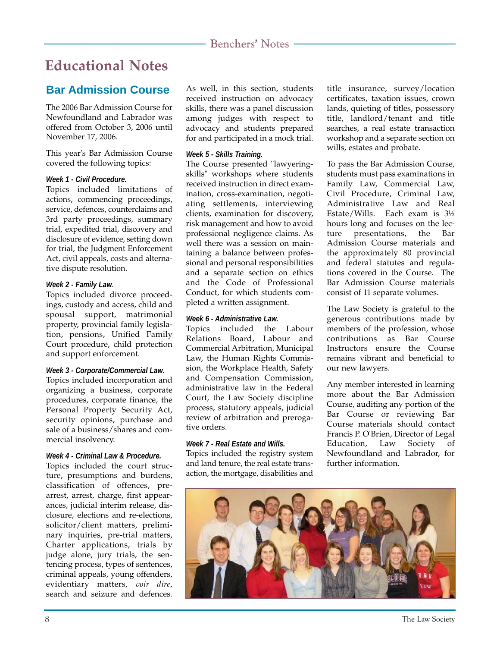# **Educational Notes**

# **Bar Admission Course**

The 2006 Bar Admission Course for Newfoundland and Labrador was offered from October 3, 2006 until November 17, 2006.

This year's Bar Admission Course covered the following topics:

### *Week 1 - Civil Procedure.*

Topics included limitations of actions, commencing proceedings, service, defences, counterclaims and 3rd party proceedings, summary trial, expedited trial, discovery and disclosure of evidence, setting down for trial, the Judgment Enforcement Act, civil appeals, costs and alternative dispute resolution.

### *Week 2 - Family Law.*

Topics included divorce proceedings, custody and access, child and spousal support, matrimonial property, provincial family legislation, pensions, Unified Family Court procedure, child protection and support enforcement.

#### *Week 3 - Corporate/Commercial Law*.

Topics included incorporation and organizing a business, corporate procedures, corporate finance, the Personal Property Security Act, security opinions, purchase and sale of a business/shares and commercial insolvency.

### *Week 4 - Criminal Law & Procedure.*

Topics included the court structure, presumptions and burdens, classification of offences, prearrest, arrest, charge, first appearances, judicial interim release, disclosure, elections and re-elections, solicitor/client matters, preliminary inquiries, pre-trial matters, Charter applications, trials by judge alone, jury trials, the sentencing process, types of sentences, criminal appeals, young offenders, evidentiary matters, *voir dire*, search and seizure and defences.

As well, in this section, students received instruction on advocacy skills, there was a panel discussion among judges with respect to advocacy and students prepared for and participated in a mock trial.

### *Week 5 - Skills Training.*

The Course presented "lawyeringskills" workshops where students received instruction in direct examination, cross-examination, negotiating settlements, interviewing clients, examination for discovery, risk management and how to avoid professional negligence claims. As well there was a session on maintaining a balance between professional and personal responsibilities and a separate section on ethics and the Code of Professional Conduct, for which students completed a written assignment.

### *Week 6 - Administrative Law.*

Topics included the Labour Relations Board, Labour and Commercial Arbitration, Municipal Law, the Human Rights Commission, the Workplace Health, Safety and Compensation Commission, administrative law in the Federal Court, the Law Society discipline process, statutory appeals, judicial review of arbitration and prerogative orders.

### *Week 7 - Real Estate and Wills.*

Topics included the registry system and land tenure, the real estate transaction, the mortgage, disabilities and title insurance, survey/location certificates, taxation issues, crown lands, quieting of titles, possessory title, landlord/tenant and title searches, a real estate transaction workshop and a separate section on wills, estates and probate.

To pass the Bar Admission Course, students must pass examinations in Family Law, Commercial Law, Civil Procedure, Criminal Law, Administrative Law and Real Estate/Wills. Each exam is 3½ hours long and focuses on the lecture presentations, the Bar Admission Course materials and the approximately 80 provincial and federal statutes and regulations covered in the Course. The Bar Admission Course materials consist of 11 separate volumes.

The Law Society is grateful to the generous contributions made by members of the profession, whose contributions as Bar Course Instructors ensure the Course remains vibrant and beneficial to our new lawyers.

Any member interested in learning more about the Bar Admission Course, auditing any portion of the Bar Course or reviewing Bar Course materials should contact Francis P. O'Brien, Director of Legal Education, Law Society of Newfoundland and Labrador, for further information.

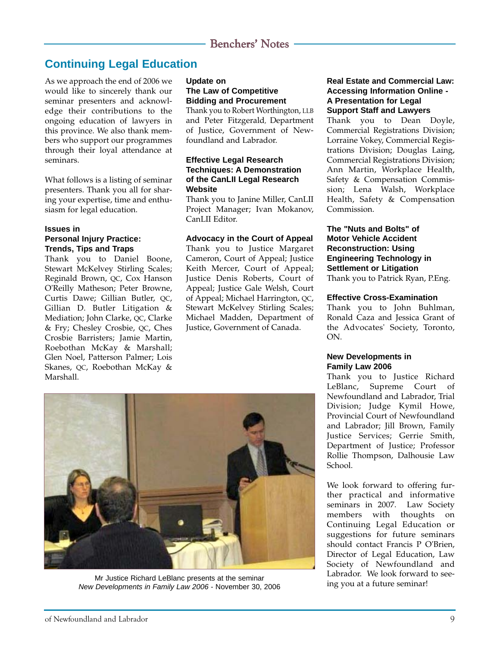## **Continuing Legal Education**

As we approach the end of 2006 we would like to sincerely thank our seminar presenters and acknowledge their contributions to the ongoing education of lawyers in this province. We also thank members who support our programmes through their loyal attendance at seminars.

What follows is a listing of seminar presenters. Thank you all for sharing your expertise, time and enthusiasm for legal education.

#### **Issues in Personal Injury Practice: Trends, Tips and Traps**

Thank you to Daniel Boone, Stewart McKelvey Stirling Scales; Reginald Brown, QC, Cox Hanson O'Reilly Matheson; Peter Browne, Curtis Dawe: Gillian Butler, OC, Gillian D. Butler Litigation & Mediation; John Clarke, QC, Clarke & Fry; Chesley Crosbie, QC, Ches Crosbie Barristers; Jamie Martin, Roebothan McKay & Marshall; Glen Noel, Patterson Palmer; Lois Skanes, QC, Roebothan McKay & Marshall.

### **Update on The Law of Competitive Bidding and Procurement**

Thank you to Robert Worthington, LLB and Peter Fitzgerald, Department of Justice, Government of Newfoundland and Labrador.

#### **Effective Legal Research Techniques: A Demonstration of the CanLII Legal Research Website**

Thank you to Janine Miller, CanLII Project Manager; Ivan Mokanov, CanLII Editor.

### **Advocacy in the Court of Appeal**

Thank you to Justice Margaret Cameron, Court of Appeal; Justice Keith Mercer, Court of Appeal; Justice Denis Roberts, Court of Appeal; Justice Gale Welsh, Court of Appeal; Michael Harrington, QC, Stewart McKelvey Stirling Scales; Michael Madden, Department of Justice, Government of Canada.

#### **Real Estate and Commercial Law: Accessing Information Online - A Presentation for Legal Support Staff and Lawyers**

Thank you to Dean Doyle, Commercial Registrations Division; Lorraine Vokey, Commercial Registrations Division; Douglas Laing, Commercial Registrations Division; Ann Martin, Workplace Health, Safety & Compensation Commission; Lena Walsh, Workplace Health, Safety & Compensation Commission.

### **The "Nuts and Bolts" of Motor Vehicle Accident Reconstruction: Using Engineering Technology in Settlement or Litigation** Thank you to Patrick Ryan, P.Eng.

#### **Effective Cross-Examination**

Thank you to John Buhlman, Ronald Caza and Jessica Grant of the Advocates' Society, Toronto, ON.

#### **New Developments in Family Law 2006**

Thank you to Justice Richard LeBlanc, Supreme Court of Newfoundland and Labrador, Trial Division; Judge Kymil Howe, Provincial Court of Newfoundland and Labrador; Jill Brown, Family Justice Services; Gerrie Smith, Department of Justice; Professor Rollie Thompson, Dalhousie Law School.

We look forward to offering further practical and informative seminars in 2007. Law Society members with thoughts on Continuing Legal Education or suggestions for future seminars should contact Francis P O'Brien, Director of Legal Education, Law Society of Newfoundland and Labrador. We look forward to see-



Mr Justice Richard LeBlanc presents at the seminar *New Developments in Family Law 2006* - November 30, 2006<br><sup>1</sup> Ing you at a future seminar!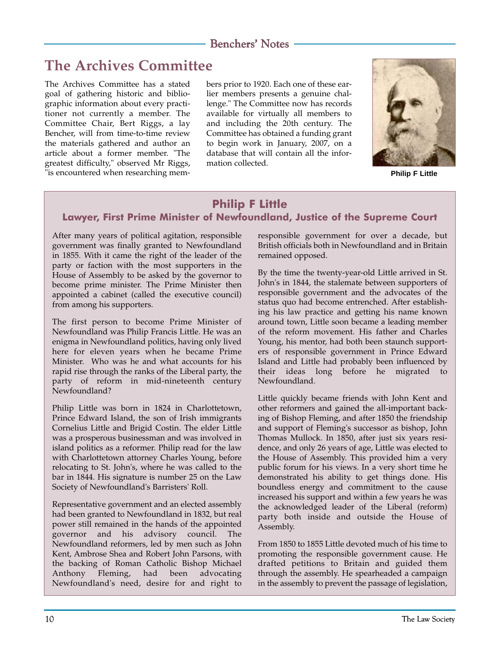# **The Archives Committee**

The Archives Committee has a stated goal of gathering historic and bibliographic information about every practitioner not currently a member. The Committee Chair, Bert Riggs, a lay Bencher, will from time-to-time review the materials gathered and author an article about a former member. "The greatest difficulty," observed Mr Riggs, "is encountered when researching members prior to 1920. Each one of these earlier members presents a genuine challenge." The Committee now has records available for virtually all members to and including the 20th century. The Committee has obtained a funding grant to begin work in January, 2007, on a database that will contain all the information collected.



**Philip F Little**

### **Philip F Little Lawyer, First Prime Minister of Newfoundland, Justice of the Supreme Court**

After many years of political agitation, responsible government was finally granted to Newfoundland in 1855. With it came the right of the leader of the party or faction with the most supporters in the House of Assembly to be asked by the governor to become prime minister. The Prime Minister then appointed a cabinet (called the executive council) from among his supporters.

The first person to become Prime Minister of Newfoundland was Philip Francis Little. He was an enigma in Newfoundland politics, having only lived here for eleven years when he became Prime Minister. Who was he and what accounts for his rapid rise through the ranks of the Liberal party, the party of reform in mid-nineteenth century Newfoundland?

Philip Little was born in 1824 in Charlottetown, Prince Edward Island, the son of Irish immigrants Cornelius Little and Brigid Costin. The elder Little was a prosperous businessman and was involved in island politics as a reformer. Philip read for the law with Charlottetown attorney Charles Young, before relocating to St. John's, where he was called to the bar in 1844. His signature is number 25 on the Law Society of Newfoundland's Barristers' Roll.

Representative government and an elected assembly had been granted to Newfoundland in 1832, but real power still remained in the hands of the appointed governor and his advisory council. The Newfoundland reformers, led by men such as John Kent, Ambrose Shea and Robert John Parsons, with the backing of Roman Catholic Bishop Michael Anthony Fleming, had been advocating Newfoundland's need, desire for and right to responsible government for over a decade, but British officials both in Newfoundland and in Britain remained opposed.

By the time the twenty-year-old Little arrived in St. John's in 1844, the stalemate between supporters of responsible government and the advocates of the status quo had become entrenched. After establishing his law practice and getting his name known around town, Little soon became a leading member of the reform movement. His father and Charles Young, his mentor, had both been staunch supporters of responsible government in Prince Edward Island and Little had probably been influenced by their ideas long before he migrated to Newfoundland.

Little quickly became friends with John Kent and other reformers and gained the all-important backing of Bishop Fleming, and after 1850 the friendship and support of Fleming's successor as bishop, John Thomas Mullock. In 1850, after just six years residence, and only 26 years of age, Little was elected to the House of Assembly. This provided him a very public forum for his views. In a very short time he demonstrated his ability to get things done. His boundless energy and commitment to the cause increased his support and within a few years he was the acknowledged leader of the Liberal (reform) party both inside and outside the House of Assembly.

From 1850 to 1855 Little devoted much of his time to promoting the responsible government cause. He drafted petitions to Britain and guided them through the assembly. He spearheaded a campaign in the assembly to prevent the passage of legislation,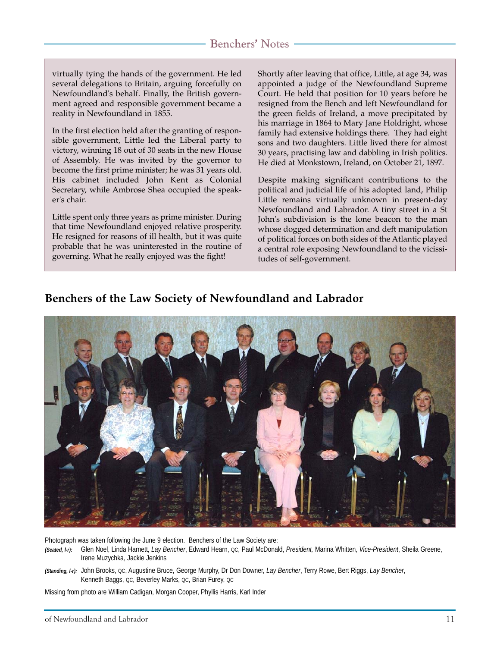virtually tying the hands of the government. He led several delegations to Britain, arguing forcefully on Newfoundland's behalf. Finally, the British government agreed and responsible government became a reality in Newfoundland in 1855.

In the first election held after the granting of responsible government, Little led the Liberal party to victory, winning 18 out of 30 seats in the new House of Assembly. He was invited by the governor to become the first prime minister; he was 31 years old. His cabinet included John Kent as Colonial Secretary, while Ambrose Shea occupied the speaker's chair.

Little spent only three years as prime minister. During that time Newfoundland enjoyed relative prosperity. He resigned for reasons of ill health, but it was quite probable that he was uninterested in the routine of governing. What he really enjoyed was the fight!

Shortly after leaving that office, Little, at age 34, was appointed a judge of the Newfoundland Supreme Court. He held that position for 10 years before he resigned from the Bench and left Newfoundland for the green fields of Ireland, a move precipitated by his marriage in 1864 to Mary Jane Holdright, whose family had extensive holdings there. They had eight sons and two daughters. Little lived there for almost 30 years, practising law and dabbling in Irish politics. He died at Monkstown, Ireland, on October 21, 1897.

Despite making significant contributions to the political and judicial life of his adopted land, Philip Little remains virtually unknown in present-day Newfoundland and Labrador. A tiny street in a St John's subdivision is the lone beacon to the man whose dogged determination and deft manipulation of political forces on both sides of the Atlantic played a central role exposing Newfoundland to the vicissitudes of self-government.

### **Benchers of the Law Society of Newfoundland and Labrador**



Photograph was taken following the June 9 election. Benchers of the Law Society are: *(Seated, l-r):* Glen Noel, Linda Harnett, *Lay Bencher*, Edward Hearn, QC, Paul McDonald, *President,* Marina Whitten, *Vice-President*, Sheila Greene, Irene Muzychka, Jackie Jenkins

Missing from photo are William Cadigan, Morgan Cooper, Phyllis Harris, Karl Inder

*<sup>(</sup>Standing, l-r):* John Brooks, QC, Augustine Bruce, George Murphy, Dr Don Downer, *Lay Bencher*, Terry Rowe, Bert Riggs, *Lay Bencher*, Kenneth Baggs, QC, Beverley Marks, QC, Brian Furey, QC